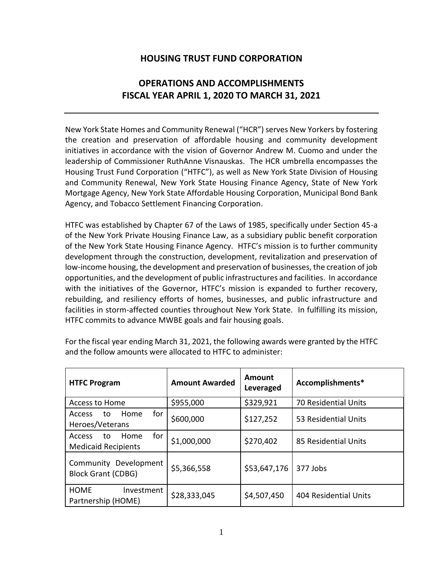## **HOUSING TRUST FUND CORPORATION**

# **OPERATIONS AND ACCOMPLISHMENTS FISCAL YEAR APRIL 1, 2020 TO MARCH 31, 2021**

New York State Homes and Community Renewal ("HCR") serves New Yorkers by fostering the creation and preservation of affordable housing and community development initiatives in accordance with the vision of Governor Andrew M. Cuomo and under the leadership of Commissioner RuthAnne Visnauskas. The HCR umbrella encompasses the Housing Trust Fund Corporation ("HTFC"), as well as New York State Division of Housing and Community Renewal, New York State Housing Finance Agency, State of New York Mortgage Agency, New York State Affordable Housing Corporation, Municipal Bond Bank Agency, and Tobacco Settlement Financing Corporation.

HTFC was established by Chapter 67 of the Laws of 1985, specifically under Section 45-a of the New York Private Housing Finance Law, as a subsidiary public benefit corporation of the New York State Housing Finance Agency. HTFC's mission is to further community development through the construction, development, revitalization and preservation of low-income housing, the development and preservation of businesses, the creation of job opportunities, and the development of public infrastructures and facilities. In accordance with the initiatives of the Governor, HTFC's mission is expanded to further recovery, rebuilding, and resiliency efforts of homes, businesses, and public infrastructure and facilities in storm-affected counties throughout New York State. In fulfilling its mission, HTFC commits to advance MWBE goals and fair housing goals.

| <b>HTFC Program</b>                                              | <b>Amount Awarded</b> | Amount<br>Leveraged | Accomplishments*            |
|------------------------------------------------------------------|-----------------------|---------------------|-----------------------------|
| Access to Home                                                   | \$955,000             | \$329,921           | <b>70 Residential Units</b> |
| for<br>Home<br><b>Access</b><br>to<br>Heroes/Veterans            | \$600,000             | \$127,252           | 53 Residential Units        |
| for<br>Home<br><b>Access</b><br>to<br><b>Medicaid Recipients</b> | \$1,000,000           | \$270,402           | 85 Residential Units        |
| Community Development<br><b>Block Grant (CDBG)</b>               | \$5,366,558           | \$53,647,176        | 377 Jobs                    |
| <b>HOME</b><br>Investment<br>Partnership (HOME)                  | \$28,333,045          | \$4,507,450         | 404 Residential Units       |

For the fiscal year ending March 31, 2021, the following awards were granted by the HTFC and the follow amounts were allocated to HTFC to administer: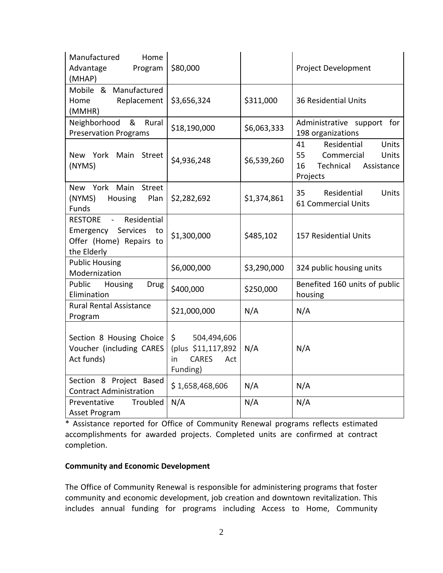| Manufactured<br>Home<br>Advantage<br>Program<br>(MHAP)                                                               | \$80,000                                                                         |             | Project Development                                                                                  |
|----------------------------------------------------------------------------------------------------------------------|----------------------------------------------------------------------------------|-------------|------------------------------------------------------------------------------------------------------|
| Mobile & Manufactured<br>Replacement<br>Home<br>(MMHR)                                                               | \$3,656,324                                                                      | \$311,000   | <b>36 Residential Units</b>                                                                          |
| &<br>Neighborhood<br>Rural<br><b>Preservation Programs</b>                                                           | \$18,190,000                                                                     | \$6,063,333 | Administrative support for<br>198 organizations                                                      |
| New York<br>Main<br>Street<br>(NYMS)                                                                                 | \$4,936,248                                                                      | \$6,539,260 | Units<br>41<br>Residential<br>55<br>Commercial<br>Units<br>16<br>Technical<br>Assistance<br>Projects |
| New York Main<br>Street<br>(NYMS)<br>Housing<br>Plan<br>Funds                                                        | \$2,282,692                                                                      | \$1,374,861 | 35<br>Residential<br>Units<br>61 Commercial Units                                                    |
| Residential<br><b>RESTORE</b><br>$\sim$ $-$<br>Services<br>Emergency<br>to<br>Offer (Home) Repairs to<br>the Elderly | \$1,300,000                                                                      | \$485,102   | 157 Residential Units                                                                                |
| <b>Public Housing</b><br>Modernization                                                                               | \$6,000,000                                                                      | \$3,290,000 | 324 public housing units                                                                             |
| Public<br>Housing<br>Drug<br>Elimination                                                                             | \$400,000                                                                        | \$250,000   | Benefited 160 units of public<br>housing                                                             |
| <b>Rural Rental Assistance</b><br>Program                                                                            | \$21,000,000                                                                     | N/A         | N/A                                                                                                  |
| Section 8 Housing Choice<br>Voucher (including CARES<br>Act funds)                                                   | 504,494,606<br>\$<br>(plus \$11,117,892<br><b>CARES</b><br>in<br>Act<br>Funding) | N/A         | N/A                                                                                                  |
| Section 8 Project Based<br><b>Contract Administration</b>                                                            | \$1,658,468,606                                                                  | N/A         | N/A                                                                                                  |
| Troubled<br>Preventative<br>Asset Program                                                                            | N/A                                                                              | N/A         | N/A                                                                                                  |

\* Assistance reported for Office of Community Renewal programs reflects estimated accomplishments for awarded projects. Completed units are confirmed at contract completion.

#### **Community and Economic Development**

The Office of Community Renewal is responsible for administering programs that foster community and economic development, job creation and downtown revitalization. This includes annual funding for programs including Access to Home, Community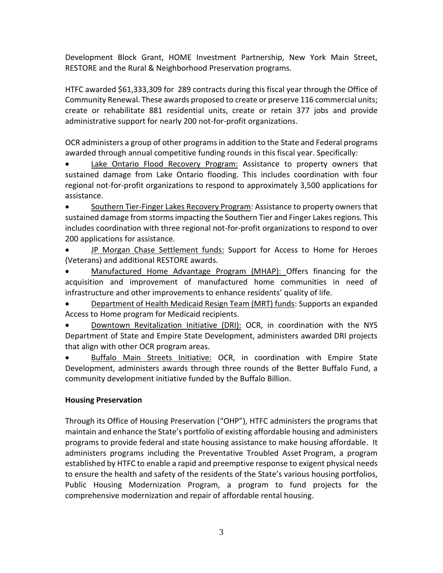Development Block Grant, HOME Investment Partnership, New York Main Street, RESTORE and the Rural & Neighborhood Preservation programs.

HTFC awarded \$61,333,309 for 289 contracts during this fiscal year through the Office of Community Renewal. These awards proposed to create or preserve 116 commercial units; create or rehabilitate 881 residential units, create or retain 377 jobs and provide administrative support for nearly 200 not-for-profit organizations.

OCR administers a group of other programs in addition to the State and Federal programs awarded through annual competitive funding rounds in this fiscal year. Specifically:

Lake Ontario Flood Recovery Program: Assistance to property owners that sustained damage from Lake Ontario flooding. This includes coordination with four regional not-for-profit organizations to respond to approximately 3,500 applications for assistance.

• Southern Tier-Finger Lakes Recovery Program: Assistance to property owners that sustained damage from storms impacting the Southern Tier and Finger Lakes regions. This includes coordination with three regional not-for-profit organizations to respond to over 200 applications for assistance.

• JP Morgan Chase Settlement funds: Support for Access to Home for Heroes (Veterans) and additional RESTORE awards.

• Manufactured Home Advantage Program (MHAP): Offers financing for the acquisition and improvement of manufactured home communities in need of infrastructure and other improvements to enhance residents' quality of life.

• Department of Health Medicaid Resign Team (MRT) funds: Supports an expanded Access to Home program for Medicaid recipients.

**Downtown Revitalization Initiative (DRI):** OCR, in coordination with the NYS Department of State and Empire State Development, administers awarded DRI projects that align with other OCR program areas.

• Buffalo Main Streets Initiative: OCR, in coordination with Empire State Development, administers awards through three rounds of the Better Buffalo Fund, a community development initiative funded by the Buffalo Billion.

## **Housing Preservation**

Through its Office of Housing Preservation ("OHP"), HTFC administers the programs that maintain and enhance the State's portfolio of existing affordable housing and administers programs to provide federal and state housing assistance to make housing affordable. It administers programs including the Preventative Troubled Asset Program, a program established by HTFC to enable a rapid and preemptive response to exigent physical needs to ensure the health and safety of the residents of the State's various housing portfolios, Public Housing Modernization Program, a program to fund projects for the comprehensive modernization and repair of affordable rental housing.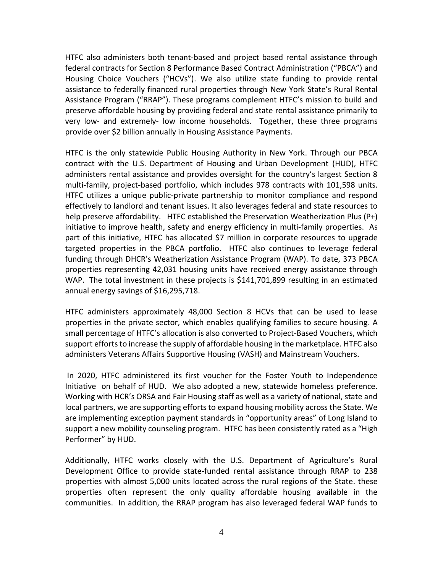HTFC also administers both tenant-based and project based rental assistance through federal contracts for Section 8 Performance Based Contract Administration ("PBCA") and Housing Choice Vouchers ("HCVs"). We also utilize state funding to provide rental assistance to federally financed rural properties through New York State's Rural Rental Assistance Program ("RRAP"). These programs complement HTFC's mission to build and preserve affordable housing by providing federal and state rental assistance primarily to very low- and extremely- low income households. Together, these three programs provide over \$2 billion annually in Housing Assistance Payments.

HTFC is the only statewide Public Housing Authority in New York. Through our PBCA contract with the U.S. Department of Housing and Urban Development (HUD), HTFC administers rental assistance and provides oversight for the country's largest Section 8 multi-family, project-based portfolio, which includes 978 contracts with 101,598 units. HTFC utilizes a unique public-private partnership to monitor compliance and respond effectively to landlord and tenant issues. It also leverages federal and state resources to help preserve affordability. HTFC established the Preservation Weatherization Plus (P+) initiative to improve health, safety and energy efficiency in multi-family properties. As part of this initiative, HTFC has allocated \$7 million in corporate resources to upgrade targeted properties in the PBCA portfolio. HTFC also continues to leverage federal funding through DHCR's Weatherization Assistance Program (WAP). To date, 373 PBCA properties representing 42,031 housing units have received energy assistance through WAP. The total investment in these projects is \$141,701,899 resulting in an estimated annual energy savings of \$16,295,718.

HTFC administers approximately 48,000 Section 8 HCVs that can be used to lease properties in the private sector, which enables qualifying families to secure housing. A small percentage of HTFC's allocation is also converted to Project-Based Vouchers, which support efforts to increase the supply of affordable housing in the marketplace. HTFC also administers Veterans Affairs Supportive Housing (VASH) and Mainstream Vouchers.

In 2020, HTFC administered its first voucher for the Foster Youth to Independence Initiative on behalf of HUD. We also adopted a new, statewide homeless preference. Working with HCR's ORSA and Fair Housing staff as well as a variety of national, state and local partners, we are supporting efforts to expand housing mobility across the State. We are implementing exception payment standards in "opportunity areas" of Long Island to support a new mobility counseling program. HTFC has been consistently rated as a "High Performer" by HUD.

Additionally, HTFC works closely with the U.S. Department of Agriculture's Rural Development Office to provide state-funded rental assistance through RRAP to 238 properties with almost 5,000 units located across the rural regions of the State. these properties often represent the only quality affordable housing available in the communities. In addition, the RRAP program has also leveraged federal WAP funds to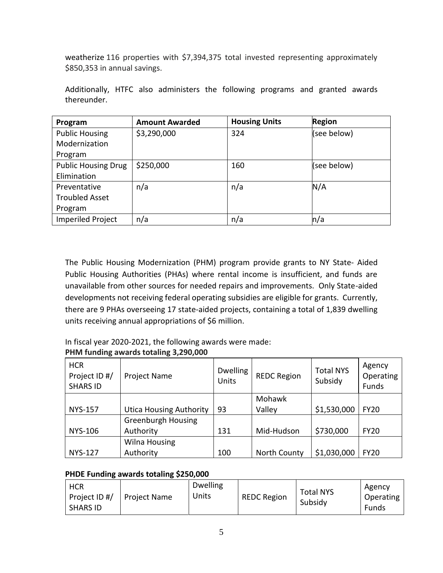weatherize 116 properties with \$7,394,375 total invested representing approximately \$850,353 in annual savings.

| Program                    | <b>Amount Awarded</b> | <b>Housing Units</b> | <b>Region</b> |
|----------------------------|-----------------------|----------------------|---------------|
| <b>Public Housing</b>      | \$3,290,000           | 324                  | (see below)   |
| Modernization              |                       |                      |               |
| Program                    |                       |                      |               |
| <b>Public Housing Drug</b> | \$250,000             | 160                  | (see below)   |
| Elimination                |                       |                      |               |
| Preventative               | n/a                   | n/a                  | N/A           |
| <b>Troubled Asset</b>      |                       |                      |               |
| Program                    |                       |                      |               |
| <b>Imperiled Project</b>   | n/a                   | n/a                  | n/a           |

Additionally, HTFC also administers the following programs and granted awards thereunder.

The Public Housing Modernization (PHM) program provide grants to NY State- Aided Public Housing Authorities (PHAs) where rental income is insufficient, and funds are unavailable from other sources for needed repairs and improvements. Only State-aided developments not receiving federal operating subsidies are eligible for grants. Currently, there are 9 PHAs overseeing 17 state-aided projects, containing a total of 1,839 dwelling units receiving annual appropriations of \$6 million.

|  | In fiscal year 2020-2021, the following awards were made: |
|--|-----------------------------------------------------------|
|--|-----------------------------------------------------------|

## **PHM funding awards totaling 3,290,000**

| <b>HCR</b><br>Project ID #/<br><b>SHARS ID</b> | Project Name                   | <b>Dwelling</b><br><b>Units</b> | <b>REDC Region</b>  | <b>Total NYS</b><br>Subsidy | Agency<br>Operating<br>Funds |
|------------------------------------------------|--------------------------------|---------------------------------|---------------------|-----------------------------|------------------------------|
|                                                |                                |                                 | Mohawk              |                             |                              |
| <b>NYS-157</b>                                 | <b>Utica Housing Authority</b> | 93                              | Valley              | \$1,530,000                 | <b>FY20</b>                  |
|                                                | <b>Greenburgh Housing</b>      |                                 |                     |                             |                              |
| <b>NYS-106</b>                                 | Authority                      | 131                             | Mid-Hudson          | \$730,000                   | <b>FY20</b>                  |
|                                                | <b>Wilna Housing</b>           |                                 |                     |                             |                              |
| <b>NYS-127</b>                                 | Authority                      | 100                             | <b>North County</b> | \$1,030,000                 | <b>FY20</b>                  |

## **PHDE Funding awards totaling \$250,000**

| <b>HCR</b><br>Project ID #/<br><b>SHARS ID</b> | <b>Project Name</b> | <b>Dwelling</b><br>Units | <b>REDC Region</b> | <b>Total NYS</b><br>Subsidy | Agency<br>Operating<br>Funds |
|------------------------------------------------|---------------------|--------------------------|--------------------|-----------------------------|------------------------------|
|------------------------------------------------|---------------------|--------------------------|--------------------|-----------------------------|------------------------------|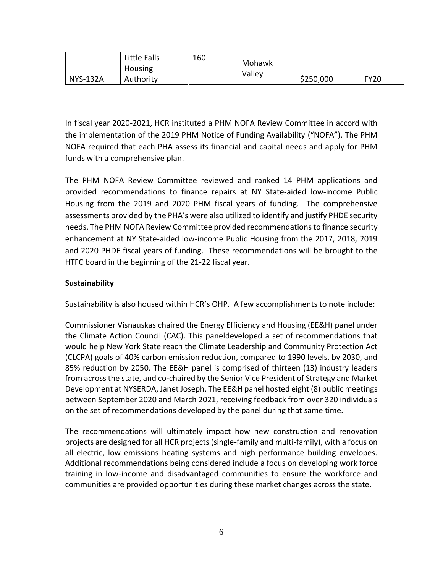|                 | Little Falls<br>Housing | 160 | Mohawk |           |             |
|-----------------|-------------------------|-----|--------|-----------|-------------|
| <b>NYS-132A</b> | Authority               |     | Valley | \$250,000 | <b>FY20</b> |

In fiscal year 2020-2021, HCR instituted a PHM NOFA Review Committee in accord with the implementation of the 2019 PHM Notice of Funding Availability ("NOFA"). The PHM NOFA required that each PHA assess its financial and capital needs and apply for PHM funds with a comprehensive plan.

The PHM NOFA Review Committee reviewed and ranked 14 PHM applications and provided recommendations to finance repairs at NY State-aided low-income Public Housing from the 2019 and 2020 PHM fiscal years of funding. The comprehensive assessments provided by the PHA's were also utilized to identify and justify PHDE security needs. The PHM NOFA Review Committee provided recommendations to finance security enhancement at NY State-aided low-income Public Housing from the 2017, 2018, 2019 and 2020 PHDE fiscal years of funding. These recommendations will be brought to the HTFC board in the beginning of the 21-22 fiscal year.

#### **Sustainability**

Sustainability is also housed within HCR's OHP. A few accomplishments to note include:

Commissioner Visnauskas chaired the Energy Efficiency and Housing (EE&H) panel under the Climate Action Council (CAC). This paneldeveloped a set of recommendations that would help New York State reach the Climate Leadership and Community Protection Act (CLCPA) goals of 40% carbon emission reduction, compared to 1990 levels, by 2030, and 85% reduction by 2050. The EE&H panel is comprised of thirteen (13) industry leaders from across the state, and co-chaired by the Senior Vice President of Strategy and Market Development at NYSERDA, Janet Joseph. The EE&H panel hosted eight (8) public meetings between September 2020 and March 2021, receiving feedback from over 320 individuals on the set of recommendations developed by the panel during that same time.

The recommendations will ultimately impact how new construction and renovation projects are designed for all HCR projects (single-family and multi-family), with a focus on all electric, low emissions heating systems and high performance building envelopes. Additional recommendations being considered include a focus on developing work force training in low-income and disadvantaged communities to ensure the workforce and communities are provided opportunities during these market changes across the state.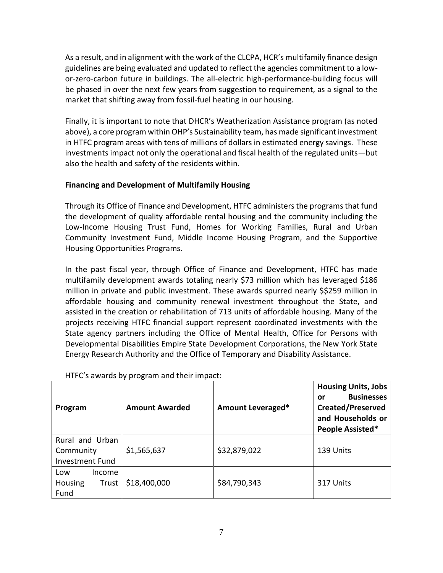As a result, and in alignment with the work of the CLCPA, HCR's multifamily finance design guidelines are being evaluated and updated to reflect the agencies commitment to a lowor-zero-carbon future in buildings. The all-electric high-performance-building focus will be phased in over the next few years from suggestion to requirement, as a signal to the market that shifting away from fossil-fuel heating in our housing.

Finally, it is important to note that DHCR's Weatherization Assistance program (as noted above), a core program within OHP's Sustainability team, has made significant investment in HTFC program areas with tens of millions of dollars in estimated energy savings. These investments impact not only the operational and fiscal health of the regulated units—but also the health and safety of the residents within.

## **Financing and Development of Multifamily Housing**

Through its Office of Finance and Development, HTFC administers the programs that fund the development of quality affordable rental housing and the community including the Low-Income Housing Trust Fund, Homes for Working Families, Rural and Urban Community Investment Fund, Middle Income Housing Program, and the Supportive Housing Opportunities Programs.

In the past fiscal year, through Office of Finance and Development, HTFC has made multifamily development awards totaling nearly \$73 million which has leveraged \$186 million in private and public investment. These awards spurred nearly \$\$259 million in affordable housing and community renewal investment throughout the State, and assisted in the creation or rehabilitation of 713 units of affordable housing. Many of the projects receiving HTFC financial support represent coordinated investments with the State agency partners including the Office of Mental Health, Office for Persons with Developmental Disabilities Empire State Development Corporations, the New York State Energy Research Authority and the Office of Temporary and Disability Assistance.

| Program                                                | <b>Amount Awarded</b> | Amount Leveraged* | <b>Housing Units, Jobs</b><br><b>Businesses</b><br>or<br><b>Created/Preserved</b><br>and Households or<br>People Assisted* |
|--------------------------------------------------------|-----------------------|-------------------|----------------------------------------------------------------------------------------------------------------------------|
| Rural and Urban<br>Community<br><b>Investment Fund</b> | \$1,565,637           | \$32,879,022      | 139 Units                                                                                                                  |
| Income<br>Low<br>Housing<br>Trust<br>Fund              | \$18,400,000          | \$84,790,343      | 317 Units                                                                                                                  |

#### HTFC's awards by program and their impact: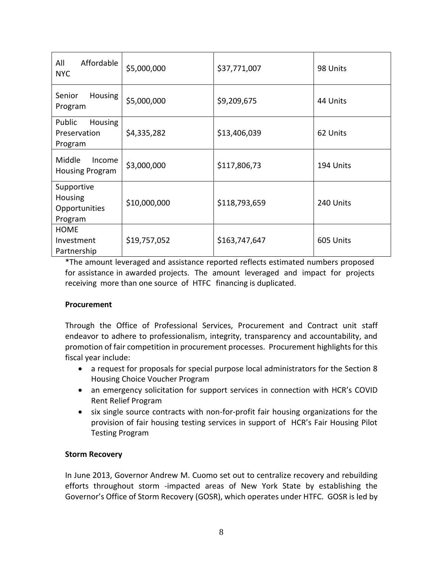| Affordable<br>All<br><b>NYC</b>                     | \$5,000,000  | \$37,771,007  | 98 Units  |
|-----------------------------------------------------|--------------|---------------|-----------|
| <b>Housing</b><br>Senior<br>Program                 | \$5,000,000  | \$9,209,675   | 44 Units  |
| Public<br><b>Housing</b><br>Preservation<br>Program | \$4,335,282  | \$13,406,039  | 62 Units  |
| Middle<br>Income<br>Housing Program                 | \$3,000,000  | \$117,806,73  | 194 Units |
| Supportive<br>Housing<br>Opportunities<br>Program   | \$10,000,000 | \$118,793,659 | 240 Units |
| <b>HOME</b><br>Investment<br>Partnership            | \$19,757,052 | \$163,747,647 | 605 Units |

\*The amount leveraged and assistance reported reflects estimated numbers proposed for assistance in awarded projects. The amount leveraged and impact for projects receiving more than one source of HTFC financing is duplicated.

#### **Procurement**

Through the Office of Professional Services, Procurement and Contract unit staff endeavor to adhere to professionalism, integrity, transparency and accountability, and promotion of fair competition in procurement processes. Procurement highlights for this fiscal year include:

- a request for proposals for special purpose local administrators for the Section 8 Housing Choice Voucher Program
- an emergency solicitation for support services in connection with HCR's COVID Rent Relief Program
- six single source contracts with non-for-profit fair housing organizations for the provision of fair housing testing services in support of HCR's Fair Housing Pilot Testing Program

#### **Storm Recovery**

In June 2013, Governor Andrew M. Cuomo set out to centralize recovery and rebuilding efforts throughout storm -impacted areas of New York State by establishing the Governor's Office of Storm Recovery (GOSR), which operates under HTFC. GOSR is led by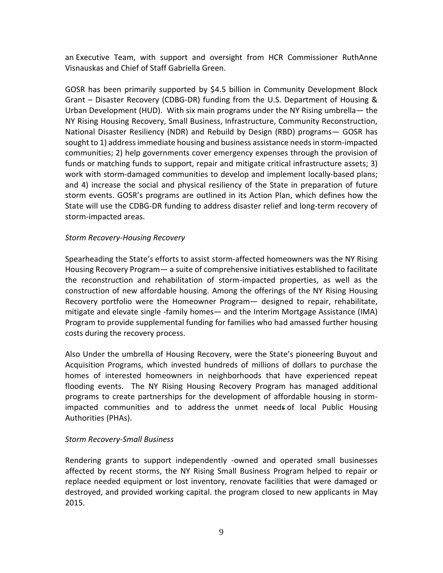an Executive Team, with support and oversight from HCR Commissioner RuthAnne Visnauskas and Chief of Staff Gabriella Green.

GOSR has been primarily supported by \$4.5 billion in Community Development Block Grant – Disaster Recovery (CDBG-DR) funding from the U.S. Department of Housing & Urban Development (HUD). With six main programs under the NY Rising umbrella— the NY Rising Housing Recovery, Small Business, Infrastructure, Community Reconstruction, National Disaster Resiliency (NDR) and Rebuild by Design (RBD) programs— GOSR has sought to 1) address immediate housing and business assistance needs in storm-impacted communities; 2) help governments cover emergency expenses through the provision of funds or matching funds to support, repair and mitigate critical infrastructure assets; 3) work with storm-damaged communities to develop and implement locally-based plans; and 4) increase the social and physical resiliency of the State in preparation of future storm events. GOSR's programs are outlined in its Action Plan, which defines how the State will use the CDBG-DR funding to address disaster relief and long-term recovery of storm-impacted areas.

#### *Storm Recovery-Housing Recovery*

Spearheading the State's efforts to assist storm-affected homeowners was the NY Rising Housing Recovery Program— a suite of comprehensive initiatives established to facilitate the reconstruction and rehabilitation of storm-impacted properties, as well as the construction of new affordable housing. Among the offerings of the NY Rising Housing Recovery portfolio were the Homeowner Program— designed to repair, rehabilitate, mitigate and elevate single -family homes— and the Interim Mortgage Assistance (IMA) Program to provide supplemental funding for families who had amassed further housing costs during the recovery process.

Also Under the umbrella of Housing Recovery, were the State's pioneering Buyout and Acquisition Programs, which invested hundreds of millions of dollars to purchase the homes of interested homeowners in neighborhoods that have experienced repeat flooding events. The NY Rising Housing Recovery Program has managed additional programs to create partnerships for the development of affordable housing in stormimpacted communities and to address the unmet needs of local Public Housing Authorities (PHAs).

#### *Storm Recovery-Small Business*

Rendering grants to support independently -owned and operated small businesses affected by recent storms, the NY Rising Small Business Program helped to repair or replace needed equipment or lost inventory, renovate facilities that were damaged or destroyed, and provided working capital. the program closed to new applicants in May 2015.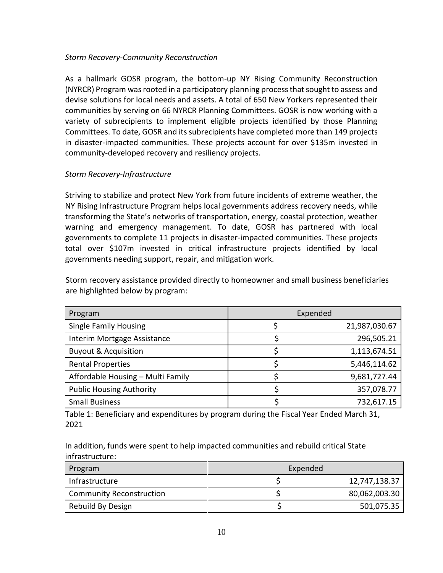#### *Storm Recovery-Community Reconstruction*

As a hallmark GOSR program, the bottom-up NY Rising Community Reconstruction (NYRCR) Program was rooted in a participatory planning process that sought to assess and devise solutions for local needs and assets. A total of 650 New Yorkers represented their communities by serving on 66 NYRCR Planning Committees. GOSR is now working with a variety of subrecipients to implement eligible projects identified by those Planning Committees. To date, GOSR and its subrecipients have completed more than 149 projects in disaster-impacted communities. These projects account for over \$135m invested in community-developed recovery and resiliency projects.

#### *Storm Recovery-Infrastructure*

Striving to stabilize and protect New York from future incidents of extreme weather, the NY Rising Infrastructure Program helps local governments address recovery needs, while transforming the State's networks of transportation, energy, coastal protection, weather warning and emergency management. To date, GOSR has partnered with local governments to complete 11 projects in disaster-impacted communities. These projects total over \$107m invested in critical infrastructure projects identified by local governments needing support, repair, and mitigation work.

Storm recovery assistance provided directly to homeowner and small business beneficiaries are highlighted below by program:

| Program                           | Expended      |
|-----------------------------------|---------------|
| <b>Single Family Housing</b>      | 21,987,030.67 |
| Interim Mortgage Assistance       | 296,505.21    |
| <b>Buyout &amp; Acquisition</b>   | 1,113,674.51  |
| <b>Rental Properties</b>          | 5,446,114.62  |
| Affordable Housing - Multi Family | 9,681,727.44  |
| <b>Public Housing Authority</b>   | 357,078.77    |
| <b>Small Business</b>             | 732,617.15    |

Table 1: Beneficiary and expenditures by program during the Fiscal Year Ended March 31, 2021

In addition, funds were spent to help impacted communities and rebuild critical State infrastructure:

| Program                         | Expended |               |
|---------------------------------|----------|---------------|
| Infrastructure                  |          | 12,747,138.37 |
| <b>Community Reconstruction</b> |          | 80,062,003.30 |
| Rebuild By Design               |          | 501,075.35    |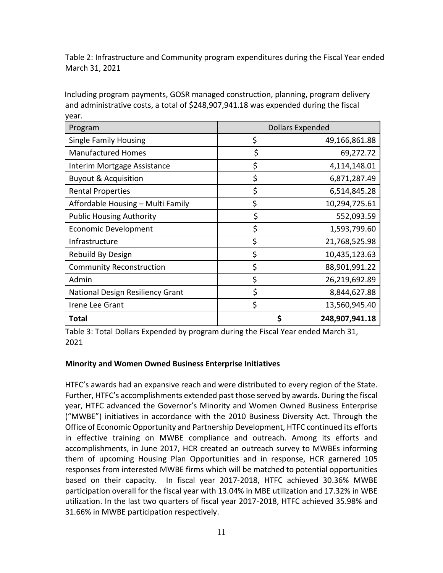Table 2: Infrastructure and Community program expenditures during the Fiscal Year ended March 31, 2021

Including program payments, GOSR managed construction, planning, program delivery and administrative costs, a total of \$248,907,941.18 was expended during the fiscal year.

| Program                                 | Dollars Expended |                |
|-----------------------------------------|------------------|----------------|
| <b>Single Family Housing</b>            | \$               | 49,166,861.88  |
| <b>Manufactured Homes</b>               | \$               | 69,272.72      |
| Interim Mortgage Assistance             | \$               | 4,114,148.01   |
| <b>Buyout &amp; Acquisition</b>         | \$               | 6,871,287.49   |
| <b>Rental Properties</b>                | \$               | 6,514,845.28   |
| Affordable Housing - Multi Family       | \$               | 10,294,725.61  |
| <b>Public Housing Authority</b>         | \$               | 552,093.59     |
| <b>Economic Development</b>             | \$               | 1,593,799.60   |
| Infrastructure                          | \$               | 21,768,525.98  |
| Rebuild By Design                       | \$               | 10,435,123.63  |
| <b>Community Reconstruction</b>         | \$               | 88,901,991.22  |
| Admin                                   | \$               | 26,219,692.89  |
| <b>National Design Resiliency Grant</b> | \$               | 8,844,627.88   |
| Irene Lee Grant                         | \$               | 13,560,945.40  |
| <b>Total</b>                            | Ś                | 248,907,941.18 |

Table 3: Total Dollars Expended by program during the Fiscal Year ended March 31, 2021

## **Minority and Women Owned Business Enterprise Initiatives**

HTFC's awards had an expansive reach and were distributed to every region of the State. Further, HTFC's accomplishments extended past those served by awards. During the fiscal year, HTFC advanced the Governor's Minority and Women Owned Business Enterprise ("MWBE") initiatives in accordance with the 2010 Business Diversity Act. Through the Office of Economic Opportunity and Partnership Development, HTFC continued its efforts in effective training on MWBE compliance and outreach. Among its efforts and accomplishments, in June 2017, HCR created an outreach survey to MWBEs informing them of upcoming Housing Plan Opportunities and in response, HCR garnered 105 responses from interested MWBE firms which will be matched to potential opportunities based on their capacity. In fiscal year 2017-2018, HTFC achieved 30.36% MWBE participation overall for the fiscal year with 13.04% in MBE utilization and 17.32% in WBE utilization. In the last two quarters of fiscal year 2017-2018, HTFC achieved 35.98% and 31.66% in MWBE participation respectively.